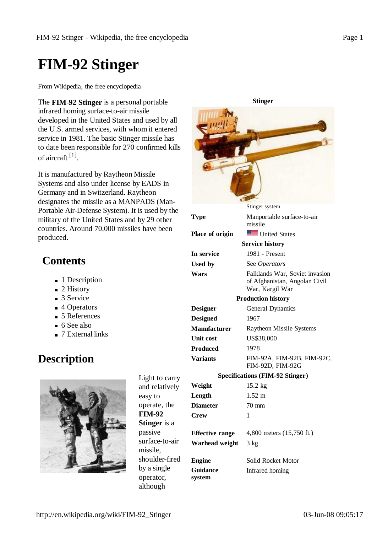# **FIM-92 Stinger**

From Wikipedia, the free encyclopedia

The **FIM-92 Stinger** is a personal portable infrared homing surface-to-air missile developed in the United States and used by all the U.S. armed services, with whom it entered service in 1981. The basic Stinger missile has to date been responsible for 270 confirmed kills of aircraft <sup>[1]</sup>.

It is manufactured by Raytheon Missile Systems and also under license by EADS in Germany and in Switzerland. Raytheon designates the missile as a MANPADS (Man-Portable Air-Defense System). It is used by the military of the United States and by 29 other countries. Around 70,000 missiles have been produced.

# **Contents**

- 1 Description
- 2 History
- 3 Service
- 4 Operators
- 5 References
- $\blacksquare$  6 See also
- 7 External links

# **Description**



Light to carry and relatively easy to operate, the **FIM-92 Stinger** is a passive surface-to-air missile, shoulder-fired by a single operator, although

| <b>Stinger</b>                         |                                                                                    |
|----------------------------------------|------------------------------------------------------------------------------------|
|                                        |                                                                                    |
|                                        | Stinger system                                                                     |
| <b>Type</b>                            | Manportable surface-to-air<br>missile                                              |
| Place of origin                        | United States                                                                      |
| <b>Service history</b>                 |                                                                                    |
| In service                             | 1981 - Present                                                                     |
| <b>Used by</b>                         | See Operators                                                                      |
| Wars                                   | Falklands War, Soviet invasion<br>of Afghanistan, Angolan Civil<br>War, Kargil War |
| <b>Production history</b>              |                                                                                    |
| <b>Designer</b>                        | General Dynamics                                                                   |
| <b>Designed</b>                        | 1967                                                                               |
| <b>Manufacturer</b>                    | <b>Raytheon Missile Systems</b>                                                    |
| <b>Unit cost</b>                       | US\$38,000                                                                         |
| <b>Produced</b>                        | 1978                                                                               |
| <b>Variants</b>                        | FIM-92A, FIM-92B, FIM-92C,<br>FIM-92D, FIM-92G                                     |
| <b>Specifications (FIM-92 Stinger)</b> |                                                                                    |
| Weight                                 | $15.2$ kg                                                                          |
| Length                                 | $1.52 \;{\rm m}$                                                                   |
| <b>Diameter</b>                        | 70 mm                                                                              |
| <b>Crew</b>                            | 1                                                                                  |
| <b>Effective range</b>                 | 4,800 meters (15,750 ft.)                                                          |
| Warhead weight                         | $3 \text{ kg}$                                                                     |
| <b>Engine</b>                          | Solid Rocket Motor                                                                 |
| <b>Guidance</b><br>system              | Infrared homing                                                                    |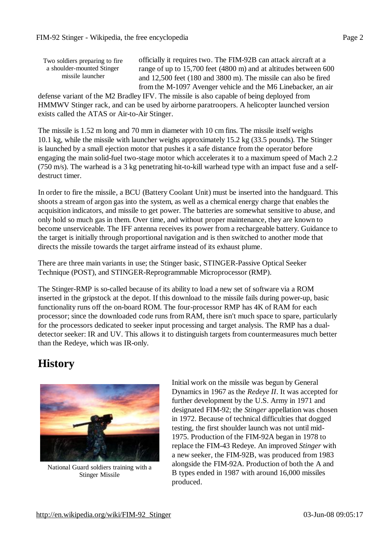Two soldiers preparing to fire a shoulder-mounted Stinger missile launcher

officially it requires two. The FIM-92B can attack aircraft at a range of up to 15,700 feet (4800 m) and at altitudes between 600 and 12,500 feet (180 and 3800 m). The missile can also be fired from the M-1097 Avenger vehicle and the M6 Linebacker, an air

defense variant of the M2 Bradley IFV. The missile is also capable of being deployed from HMMWV Stinger rack, and can be used by airborne paratroopers. A helicopter launched version exists called the ATAS or Air-to-Air Stinger.

The missile is 1.52 m long and 70 mm in diameter with 10 cm fins. The missile itself weighs 10.1 kg, while the missile with launcher weighs approximately 15.2 kg (33.5 pounds). The Stinger is launched by a small ejection motor that pushes it a safe distance from the operator before engaging the main solid-fuel two-stage motor which accelerates it to a maximum speed of Mach 2.2 (750 m/s). The warhead is a 3 kg penetrating hit-to-kill warhead type with an impact fuse and a selfdestruct timer.

In order to fire the missile, a BCU (Battery Coolant Unit) must be inserted into the handguard. This shoots a stream of argon gas into the system, as well as a chemical energy charge that enables the acquisition indicators, and missile to get power. The batteries are somewhat sensitive to abuse, and only hold so much gas in them. Over time, and without proper maintenance, they are known to become unserviceable. The IFF antenna receives its power from a rechargeable battery. Guidance to the target is initially through proportional navigation and is then switched to another mode that directs the missile towards the target airframe instead of its exhaust plume.

There are three main variants in use; the Stinger basic, STINGER-Passive Optical Seeker Technique (POST), and STINGER-Reprogrammable Microprocessor (RMP).

The Stinger-RMP is so-called because of its ability to load a new set of software via a ROM inserted in the gripstock at the depot. If this download to the missile fails during power-up, basic functionality runs off the on-board ROM. The four-processor RMP has 4K of RAM for each processor; since the downloaded code runs from RAM, there isn't much space to spare, particularly for the processors dedicated to seeker input processing and target analysis. The RMP has a dualdetector seeker: IR and UV. This allows it to distinguish targets from countermeasures much better than the Redeye, which was IR-only.

# **History**



National Guard soldiers training with a Stinger Missile

Initial work on the missile was begun by General Dynamics in 1967 as the *Redeye II*. It was accepted for further development by the U.S. Army in 1971 and designated FIM-92; the *Stinger* appellation was chosen in 1972. Because of technical difficulties that dogged testing, the first shoulder launch was not until mid-1975. Production of the FIM-92A began in 1978 to replace the FIM-43 Redeye. An improved *Stinger* with a new seeker, the FIM-92B, was produced from 1983 alongside the FIM-92A. Production of both the A and B types ended in 1987 with around 16,000 missiles produced.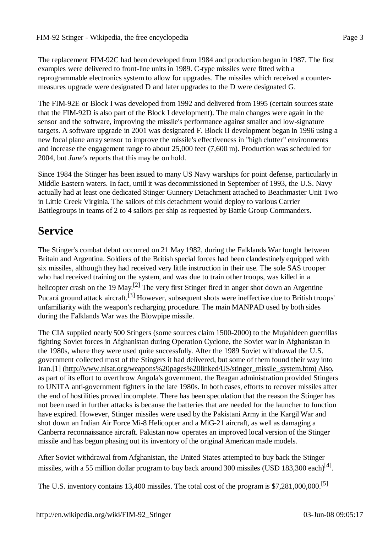The replacement FIM-92C had been developed from 1984 and production began in 1987. The first examples were delivered to front-line units in 1989. C-type missiles were fitted with a reprogrammable electronics system to allow for upgrades. The missiles which received a countermeasures upgrade were designated D and later upgrades to the D were designated G.

The FIM-92E or Block I was developed from 1992 and delivered from 1995 (certain sources state that the FIM-92D is also part of the Block I development). The main changes were again in the sensor and the software, improving the missile's performance against smaller and low-signature targets. A software upgrade in 2001 was designated F. Block II development began in 1996 using a new focal plane array sensor to improve the missile's effectiveness in "high clutter" environments and increase the engagement range to about 25,000 feet (7,600 m). Production was scheduled for 2004, but *Jane's* reports that this may be on hold.

Since 1984 the Stinger has been issued to many US Navy warships for point defense, particularly in Middle Eastern waters. In fact, until it was decommissioned in September of 1993, the U.S. Navy actually had at least one dedicated Stinger Gunnery Detachment attached to Beachmaster Unit Two in Little Creek Virginia. The sailors of this detachment would deploy to various Carrier Battlegroups in teams of 2 to 4 sailors per ship as requested by Battle Group Commanders.

# **Service**

The Stinger's combat debut occurred on 21 May 1982, during the Falklands War fought between Britain and Argentina. Soldiers of the British special forces had been clandestinely equipped with six missiles, although they had received very little instruction in their use. The sole SAS trooper who had received training on the system, and was due to train other troops, was killed in a helicopter crash on the 19 May.<sup>[2]</sup> The very first Stinger fired in anger shot down an Argentine Pucará ground attack aircraft.<sup>[3]</sup> However, subsequent shots were ineffective due to British troops' unfamiliarity with the weapon's recharging procedure. The main MANPAD used by both sides during the Falklands War was the Blowpipe missile.

The CIA supplied nearly 500 Stingers (some sources claim 1500-2000) to the Mujahideen guerrillas fighting Soviet forces in Afghanistan during Operation Cyclone, the Soviet war in Afghanistan in the 1980s, where they were used quite successfully. After the 1989 Soviet withdrawal the U.S. government collected most of the Stingers it had delivered, but some of them found their way into Iran.[1] [\(http://www.nisat.org/weapons%20pages%20linked/US/stinger\\_missile\\_system.htm\)](http://www.nisat.org/weapons%20pages%20linked/US/stinger_missile_system.htm)Also) Also, as part of its effort to overthrow Angola's government, the Reagan administration provided Stingers to UNITA anti-government fighters in the late 1980s. In both cases, efforts to recover missiles after the end of hostilities proved incomplete. There has been speculation that the reason the Stinger has not been used in further attacks is because the batteries that are needed for the launcher to function have expired. However, Stinger missiles were used by the Pakistani Army in the Kargil War and shot down an Indian Air Force Mi-8 Helicopter and a MiG-21 aircraft, as well as damaging a Canberra reconnaissance aircraft. Pakistan now operates an improved local version of the Stinger missile and has begun phasing out its inventory of the original American made models.

After Soviet withdrawal from Afghanistan, the United States attempted to buy back the Stinger missiles, with a 55 million dollar program to buy back around 300 missiles (USD 183,300 each)<sup>[4]</sup>.

The U.S. inventory contains 13,400 missiles. The total cost of the program is \$7,281,000,000.[5]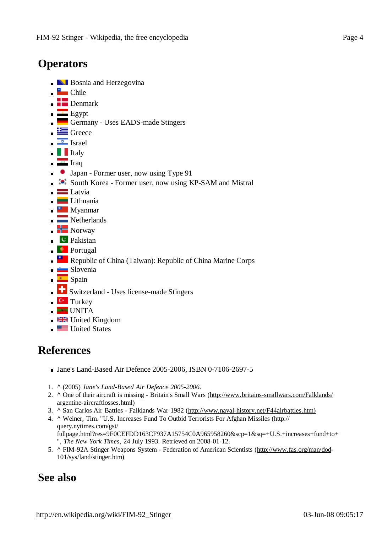#### **Operators**

- **Bosnia and Herzegovina**
- $\blacksquare$  Chile
- $\blacksquare$  Denmark
- $\equiv$  Egypt
- Germany Uses EADS-made Stingers
- $\blacksquare$  Greece
- $\frac{1}{\sqrt{2}}$  Israel
- $\blacksquare$ Italy
- $\frac{1}{\sqrt{1-\frac{1}{2}}}\text{Iraq}$
- **Japan Former user, now using Type 91**
- $\bullet$  South Korea Former user, now using KP-SAM and Mistral
- $\blacksquare$  Latvia
- Lithuania
- **Myanmar**
- Netherlands
- $\blacksquare$  Norway
- $\begin{array}{c} \begin{array}{\begin{array}{\text{c}} \end{array} \end{array}$
- **Portugal**
- Republic of China (Taiwan): Republic of China Marine Corps
- Slovenia
- $\blacksquare$  Spain
- Switzerland Uses license-made Stingers
- $\blacksquare$  Turkey
- **UNITA**
- **EXAMEN** United Kingdom
- **United States**

#### **References**

- Jane's Land-Based Air Defence 2005-2006, ISBN 0-7106-2697-5
- 1. **^** (2005) *Jane's Land-Based Air Defence 2005-2006*.
- 2. **^** One of their aircraft is missing Britain's Small Wars [\(http://www.britains-smallwars.com/Falklands/](http://www.britains-smallwars.com/Falklands/) argentine-aircraftlosses.html)
- 3. **^** San Carlos Air Battles Falklands War 1982 ([http://www.naval-history.net/F44airbattles.htm\)](http://www.naval-history.net/F44airbattles.htm))
- 4. **^** Weiner, Tim. "U.S. Increases Fund To Outbid Terrorists For Afghan Missiles (http:// query.nytimes.com/gst/ fullpage.html?res=9F0CEFDD163CF937A15754C0A965958260&scp=1&sq=+U.S.+increases+fund+to+ ", *The New York Times*, 24 July 1993. Retrieved on 2008-01-12.
- 5. **^** FIM-92A Stinger Weapons System Federation of American Scientists ([http://www.fas.org/man/dod-](http://www.fas.org/man/dod)101/sys/land/stinger.htm)

#### **See also**